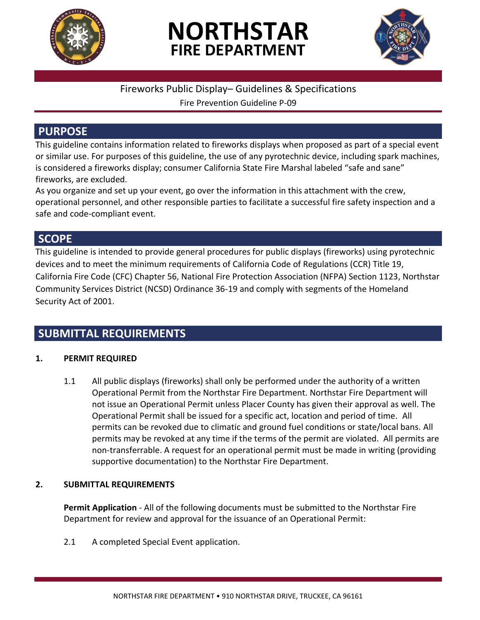

# **NORTHSTAR FIRE DEPARTMENT**



# Fireworks Public Display– Guidelines & Specifications

Fire Prevention Guideline P-09

# **PURPOSE**

This guideline contains information related to fireworks displays when proposed as part of a special event or similar use. For purposes of this guideline, the use of any pyrotechnic device, including spark machines, is considered a fireworks display; consumer California State Fire Marshal labeled "safe and sane" fireworks, are excluded.

As you organize and set up your event, go over the information in this attachment with the crew, operational personnel, and other responsible parties to facilitate a successful fire safety inspection and a safe and code-compliant event.

# **SCOPE**

This guideline is intended to provide general procedures for public displays (fireworks) using pyrotechnic devices and to meet the minimum requirements of California Code of Regulations (CCR) Title 19, California Fire Code (CFC) Chapter 56, National Fire Protection Association (NFPA) Section 1123, Northstar Community Services District (NCSD) Ordinance 36-19 and comply with segments of the Homeland Security Act of 2001.

# **SUBMITTAL REQUIREMENTS**

# **1. PERMIT REQUIRED**

1.1 All public displays (fireworks) shall only be performed under the authority of a written Operational Permit from the Northstar Fire Department. Northstar Fire Department will not issue an Operational Permit unless Placer County has given their approval as well. The Operational Permit shall be issued for a specific act, location and period of time. All permits can be revoked due to climatic and ground fuel conditions or state/local bans. All permits may be revoked at any time if the terms of the permit are violated. All permits are non-transferrable. A request for an operational permit must be made in writing (providing supportive documentation) to the Northstar Fire Department.

#### **2. SUBMITTAL REQUIREMENTS**

**Permit Application** - All of the following documents must be submitted to the Northstar Fire Department for review and approval for the issuance of an Operational Permit:

2.1 A completed Special Event application.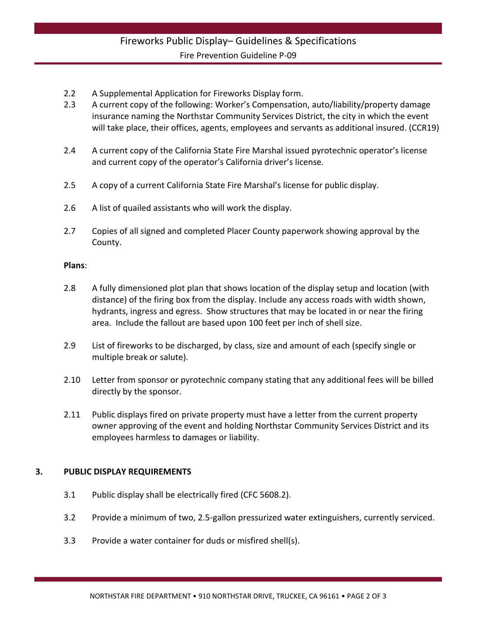- 2.2 A Supplemental Application for Fireworks Display form.
- 2.3 A current copy of the following: Worker's Compensation, auto/liability/property damage insurance naming the Northstar Community Services District, the city in which the event will take place, their offices, agents, employees and servants as additional insured. (CCR19)
- 2.4 A current copy of the California State Fire Marshal issued pyrotechnic operator's license and current copy of the operator's California driver's license.
- 2.5 A copy of a current California State Fire Marshal's license for public display.
- 2.6 A list of quailed assistants who will work the display.
- 2.7 Copies of all signed and completed Placer County paperwork showing approval by the County.

#### **Plans**:

- 2.8 A fully dimensioned plot plan that shows location of the display setup and location (with distance) of the firing box from the display. Include any access roads with width shown, hydrants, ingress and egress. Show structures that may be located in or near the firing area. Include the fallout are based upon 100 feet per inch of shell size.
- 2.9 List of fireworks to be discharged, by class, size and amount of each (specify single or multiple break or salute).
- 2.10 Letter from sponsor or pyrotechnic company stating that any additional fees will be billed directly by the sponsor.
- 2.11 Public displays fired on private property must have a letter from the current property owner approving of the event and holding Northstar Community Services District and its employees harmless to damages or liability.

#### **3. PUBLIC DISPLAY REQUIREMENTS**

- 3.1 Public display shall be electrically fired (CFC 5608.2).
- 3.2 Provide a minimum of two, 2.5-gallon pressurized water extinguishers, currently serviced.
- 3.3 Provide a water container for duds or misfired shell(s).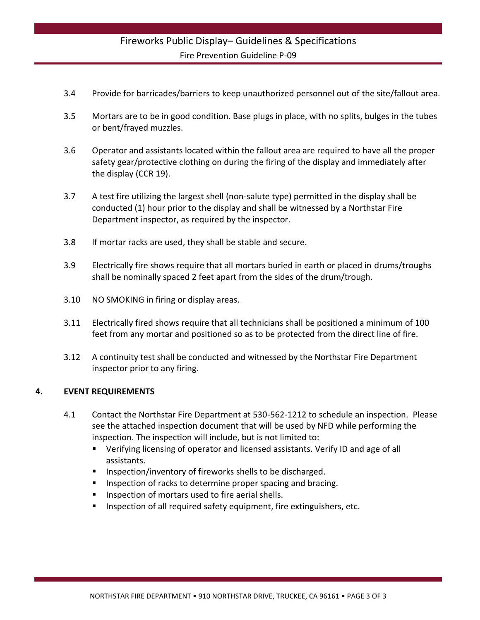# Fireworks Public Display– Guidelines & Specifications Fire Prevention Guideline P-09

- 3.4 Provide for barricades/barriers to keep unauthorized personnel out of the site/fallout area.
- 3.5 Mortars are to be in good condition. Base plugs in place, with no splits, bulges in the tubes or bent/frayed muzzles.
- 3.6 Operator and assistants located within the fallout area are required to have all the proper safety gear/protective clothing on during the firing of the display and immediately after the display (CCR 19).
- 3.7 A test fire utilizing the largest shell (non-salute type) permitted in the display shall be conducted (1) hour prior to the display and shall be witnessed by a Northstar Fire Department inspector, as required by the inspector.
- 3.8 If mortar racks are used, they shall be stable and secure.
- 3.9 Electrically fire shows require that all mortars buried in earth or placed in drums/troughs shall be nominally spaced 2 feet apart from the sides of the drum/trough.
- 3.10 NO SMOKING in firing or display areas.
- 3.11 Electrically fired shows require that all technicians shall be positioned a minimum of 100 feet from any mortar and positioned so as to be protected from the direct line of fire.
- 3.12 A continuity test shall be conducted and witnessed by the Northstar Fire Department inspector prior to any firing.

#### **4. EVENT REQUIREMENTS**

- 4.1 Contact the Northstar Fire Department at 530-562-1212 to schedule an inspection. Please see the attached inspection document that will be used by NFD while performing the inspection. The inspection will include, but is not limited to:
	- Verifying licensing of operator and licensed assistants. Verify ID and age of all assistants.
	- Inspection/inventory of fireworks shells to be discharged.
	- Inspection of racks to determine proper spacing and bracing.
	- Inspection of mortars used to fire aerial shells.
	- **Inspection of all required safety equipment, fire extinguishers, etc.**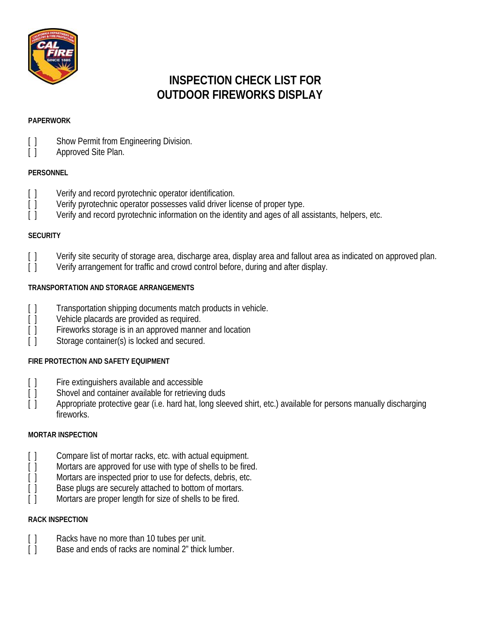

# **INSPECTION CHECK LIST FOR OUTDOOR FIREWORKS DISPLAY**

#### **PAPERWORK**

- [ ] Show Permit from Engineering Division.
- [ ] Approved Site Plan.

# **PERSONNEL**

- [] Verify and record pyrotechnic operator identification.
- [ ] Verify pyrotechnic operator possesses valid driver license of proper type.
- [ ] Verify and record pyrotechnic information on the identity and ages of all assistants, helpers, etc.

### **SECURITY**

- [ ] Verify site security of storage area, discharge area, display area and fallout area as indicated on approved plan.
- [ ] Verify arrangement for traffic and crowd control before, during and after display.

### **TRANSPORTATION AND STORAGE ARRANGEMENTS**

- [ ] Transportation shipping documents match products in vehicle.
- [ ] Vehicle placards are provided as required.
- [] Fireworks storage is in an approved manner and location
- [ ] Storage container(s) is locked and secured.

# **FIRE PROTECTION AND SAFETY EQUIPMENT**

- [ ] Fire extinguishers available and accessible<br>[ ] Shovel and container available for retrieving
- Shovel and container available for retrieving duds
- [ ] Appropriate protective gear (i.e. hard hat, long sleeved shirt, etc.) available for persons manually discharging fireworks.

# **MORTAR INSPECTION**

- [ ] Compare list of mortar racks, etc. with actual equipment.
- [ ] Mortars are approved for use with type of shells to be fired.
- [] Mortars are inspected prior to use for defects, debris, etc.
- [] Base plugs are securely attached to bottom of mortars.
- [] Mortars are proper length for size of shells to be fired.

#### **RACK INSPECTION**

- [ ] Racks have no more than 10 tubes per unit.
- [] Base and ends of racks are nominal 2" thick lumber.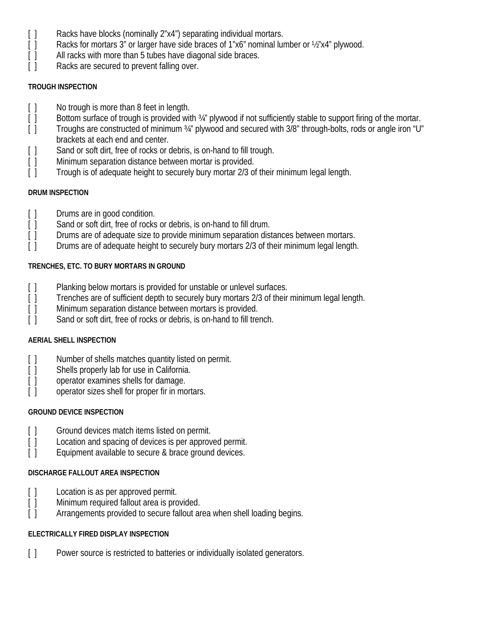- [] Racks have blocks (nominally 2"x4") separating individual mortars.
- [] Racks for mortars 3" or larger have side braces of 1"x6" nominal lumber or 1/2"x4" plywood.
- [ ] All racks with more than 5 tubes have diagonal side braces.
- [ ] Racks are secured to prevent falling over.

#### **TROUGH INSPECTION**

- [ ] No trough is more than 8 feet in length.
- [ ] Bottom surface of trough is provided with 34" plywood if not sufficiently stable to support firing of the mortar.
- [] Troughs are constructed of minimum 34" plywood and secured with 3/8" through-bolts, rods or angle iron "U" brackets at each end and center.
- [] Sand or soft dirt, free of rocks or debris, is on-hand to fill trough.
- [] Minimum separation distance between mortar is provided.
- [ ] Trough is of adequate height to securely bury mortar 2/3 of their minimum legal length.

# **DRUM INSPECTION**

- [ ] Drums are in good condition.
- [ ] Sand or soft dirt, free of rocks or debris, is on-hand to fill drum.
- [] Drums are of adequate size to provide minimum separation distances between mortars.
- [ ] Drums are of adequate height to securely bury mortars 2/3 of their minimum legal length.

# **TRENCHES, ETC. TO BURY MORTARS IN GROUND**

- 
- [ ] Planking below mortars is provided for unstable or unlevel surfaces.<br>[ ] Trenches are of sufficient depth to securely bury mortars 2/3 of their Trenches are of sufficient depth to securely bury mortars 2/3 of their minimum legal length.
- [] Minimum separation distance between mortars is provided.
- [] Sand or soft dirt, free of rocks or debris, is on-hand to fill trench.

# **AERIAL SHELL INSPECTION**

- [] Number of shells matches quantity listed on permit.
- [ ] Shells properly lab for use in California.
- [ ] operator examines shells for damage.
- [ ] operator sizes shell for proper fir in mortars.

# **GROUND DEVICE INSPECTION**

- [ ] Ground devices match items listed on permit.
- [ ] Location and spacing of devices is per approved permit.
- [ ] Equipment available to secure & brace ground devices.

# **DISCHARGE FALLOUT AREA INSPECTION**

- [ ] Location is as per approved permit.
- [ ] Minimum required fallout area is provided.
- [] Arrangements provided to secure fallout area when shell loading begins.

# **ELECTRICALLY FIRED DISPLAY INSPECTION**

[] Power source is restricted to batteries or individually isolated generators.